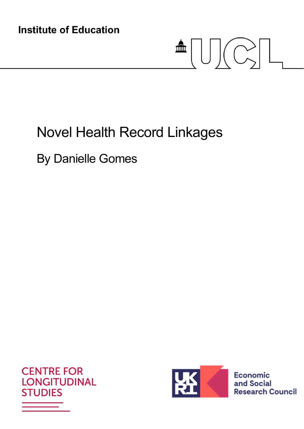**Institute of Education** 

# $\blacksquare \textcolor{red}{\textbf{[}}\textcolor{blue}{\textbf{[}}\textcolor{blue}{\textbf{[}}\textcolor{blue}{\textbf{[}}\textcolor{blue}{\textbf{[}}\textcolor{blue}{\textbf{[}}\textcolor{blue}{\textbf{[}}\textcolor{blue}{\textbf{[}}\textcolor{blue}{\textbf{[}}\textcolor{blue}{\textbf{[}}\textcolor{blue}{\textbf{[}}\textcolor{blue}{\textbf{[}}\textcolor{blue}{\textbf{[}}\textcolor{blue}{\textbf{[}}\textcolor{blue}{\textbf{[}}\textcolor{blue}{\textbf{[}}\textcolor{blue}{\textbf{[}}\textcolor{blue}{\textbf{[}}$

# Novel Health Record Linkages

By Danielle Gomes





**Economic** and Social **Research Council**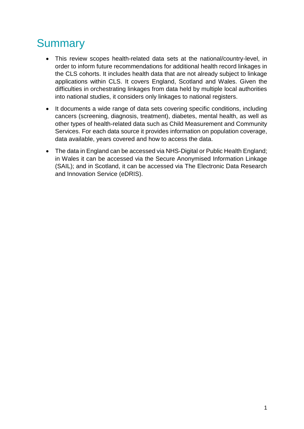# **Summary**

- This review scopes health-related data sets at the national/country-level, in order to inform future recommendations for additional health record linkages in the CLS cohorts. It includes health data that are not already subject to linkage applications within CLS. It covers England, Scotland and Wales. Given the difficulties in orchestrating linkages from data held by multiple local authorities into national studies, it considers only linkages to national registers.
- It documents a wide range of data sets covering specific conditions, including cancers (screening, diagnosis, treatment), diabetes, mental health, as well as other types of health-related data such as Child Measurement and Community Services. For each data source it provides information on population coverage, data available, years covered and how to access the data.
- The data in England can be accessed via NHS-Digital or Public Health England; in Wales it can be accessed via the Secure Anonymised Information Linkage (SAIL); and in Scotland, it can be accessed via The Electronic Data Research and Innovation Service (eDRIS).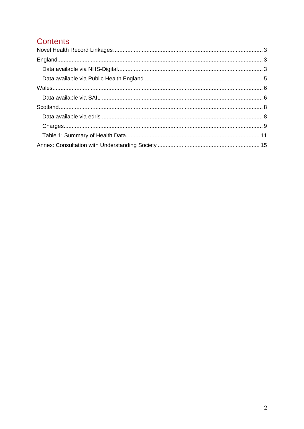# **Contents**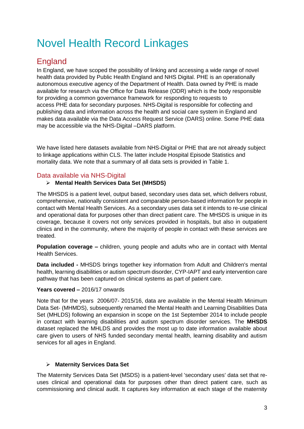# <span id="page-3-0"></span>Novel Health Record Linkages

# <span id="page-3-1"></span>England

In England, we have scoped the possibility of linking and accessing a wide range of novel health data provided by Public Health England and NHS Digital. PHE is an operationally autonomous executive agency of the Department of Health. Data owned by PHE is made available for research via the Office for Data Release (ODR) which is the body responsible for providing a common governance framework for responding to requests to access PHE data for secondary purposes. NHS-Digital is responsible for collecting and publishing data and information across the health and social care system in England and makes data available via the Data Access Request Service (DARS) online. Some PHE data may be accessible via the NHS-Digital –DARS platform.

We have listed here datasets available from NHS-Digital or PHE that are not already subject to linkage applications within CLS. The latter include Hospital Episode Statistics and mortality data. We note that a summary of all data sets is provided in Table 1.

#### <span id="page-3-2"></span>Data available via NHS-Digital

#### **Mental Health Services Data Set (MHSDS)**

The MHSDS is a patient level, output based, secondary uses data set, which delivers robust, comprehensive, nationally consistent and comparable person-based information for people in contact with Mental Health Services. As a secondary uses data set it intends to re-use clinical and operational data for purposes other than direct patient care. The MHSDS is unique in its coverage, because it covers not only services provided in hospitals, but also in outpatient clinics and in the community, where the majority of people in contact with these services are treated.

**Population coverage –** children, young people and adults who are in contact with Mental Health Services.

**Data included -** MHSDS brings together key information from Adult and Children's mental health, learning disabilities or autism spectrum disorder, CYP-IAPT and early intervention care pathway that has been captured on clinical systems as part of patient care.

#### **Years covered –** 2016/17 onwards

Note that for the years 2006/07- 2015/16, data are available in the Mental Health Minimum Data Set- (MHMDS), subsequently renamed the Mental Health and Learning Disabilities Data Set (MHLDS) following an expansion in scope on the 1st September 2014 to include people in contact with learning disabilities and autism spectrum disorder services. The **MHSDS** dataset replaced the MHLDS and provides the most up to date information available about care given to users of NHS funded secondary mental health, learning disability and autism services for all ages in England.

#### **Maternity Services Data Set**

The Maternity Services Data Set (MSDS) is a patient-level 'secondary uses' data set that reuses clinical and operational data for purposes other than direct patient care, such as commissioning and clinical audit. It captures key information at each stage of the maternity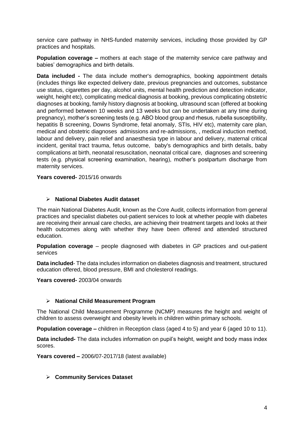service care pathway in NHS-funded maternity services, including those provided by GP practices and hospitals.

**Population coverage –** mothers at each stage of the maternity service care pathway and babies' demographics and birth details.

**Data included -** The data include mother's demographics, booking appointment details (includes things like expected delivery date, previous pregnancies and outcomes, substance use status, cigarettes per day, alcohol units, mental health prediction and detection indicator, weight, height etc), complicating medical diagnosis at booking, previous complicating obstetric diagnoses at booking, family history diagnosis at booking, ultrasound scan (offered at booking and performed between 10 weeks and 13 weeks but can be undertaken at any time during pregnancy), mother's screening tests (e.g. ABO blood group and rhesus, rubella susceptibility, hepatitis B screening, Downs Syndrome, fetal anomaly, STIs, HIV etc), maternity care plan, medical and obstetric diagnoses admissions and re-admissions, , medical induction method, labour and delivery, pain relief and anaesthesia type in labour and delivery, maternal critical incident, genital tract trauma, fetus outcome, baby's demographics and birth details, baby complications at birth, neonatal resuscitation, neonatal critical care, diagnoses and screening tests (e.g. physical screening examination, hearing), mother's postpartum discharge from maternity services.

**Years covered-** 2015/16 onwards

#### **National Diabetes Audit dataset**

The main National Diabetes Audit, known as the Core Audit, collects information from general practices and specialist diabetes out-patient services to look at whether people with diabetes are receiving their annual care checks, are achieving their treatment targets and looks at their health outcomes along with whether they have been offered and attended structured education.

**Population coverage** – people diagnosed with diabetes in GP practices and out-patient services

**Data included**- The data includes information on diabetes diagnosis and treatment, structured education offered, blood pressure, BMI and cholesterol readings.

**Years covered-** 2003/04 onwards

#### **National Child Measurement Program**

The National Child Measurement Programme (NCMP) measures the height and weight of children to assess overweight and obesity levels in children within primary schools.

**Population coverage –** children in Reception class (aged 4 to 5) and year 6 (aged 10 to 11).

**Data included-** The data includes information on pupil's height, weight and body mass index scores.

**Years covered –** 2006/07-2017/18 (latest available)

#### **Community Services Dataset**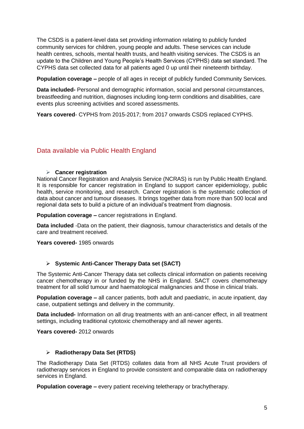The CSDS is a patient-level data set providing information relating to publicly funded community services for children, young people and adults. These services can include health centres, schools, mental health trusts, and health visiting services. The CSDS is an update to the Children and Young People's Health Services (CYPHS) data set standard. The CYPHS data set collected data for all patients aged 0 up until their nineteenth birthday.

**Population coverage –** people of all ages in receipt of publicly funded Community Services.

**Data included-** Personal and demographic information, social and personal circumstances, breastfeeding and nutrition, diagnoses including long-term conditions and disabilities, care events plus screening activities and scored assessments.

**Years covered**- CYPHS from 2015-2017; from 2017 onwards CSDS replaced CYPHS.

#### <span id="page-5-0"></span>Data available via Public Health England

#### **Cancer registration**

National Cancer Registration and Analysis Service (NCRAS) is run by Public Health England. It is responsible for cancer registration in England to support cancer epidemiology, public health, service monitoring, and research. Cancer registration is the systematic collection of data about cancer and tumour diseases. It brings together data from more than 500 local and regional data sets to build a picture of an individual's treatment from diagnosis.

**Population coverage –** cancer registrations in England.

**Data included** -Data on the patient, their diagnosis, tumour characteristics and details of the care and treatment received.

**Years covered-** 1985 onwards

#### **Systemic Anti-Cancer Therapy Data set (SACT)**

The Systemic Anti-Cancer Therapy data set collects clinical information on patients receiving cancer chemotherapy in or funded by the NHS in England. SACT covers chemotherapy treatment for all solid tumour and haematological malignancies and those in clinical trials.

**Population coverage –** all cancer patients, both adult and paediatric, in acute inpatient, day case, outpatient settings and delivery in the community.

**Data included-** Information on all drug treatments with an anti-cancer effect, in all treatment settings, including traditional cytotoxic chemotherapy and all newer agents.

**Years covered-** 2012 onwards

#### **Radiotherapy Data Set (RTDS)**

The Radiotherapy Data Set (RTDS) collates data from all NHS Acute Trust providers of radiotherapy services in England to provide consistent and comparable data on radiotherapy services in England.

**Population coverage –** every patient receiving teletherapy or brachytherapy.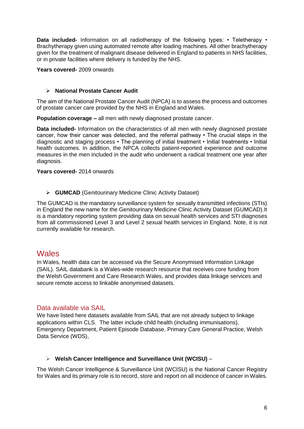**Data included-** Information on all radiotherapy of the following types: • Teletherapy • Brachytherapy given using automated remote after loading machines. All other brachytherapy given for the treatment of malignant disease delivered in England to patients in NHS facilities, or in private facilities where delivery is funded by the NHS.

**Years covered-** 2009 onwards

#### **National Prostate Cancer Audit**

The aim of the National Prostate Cancer Audit (NPCA) is to assess the process and outcomes of prostate cancer care provided by the NHS in England and Wales.

**Population coverage –** all men with newly diagnosed prostate cancer.

**Data included-** Information on the characteristics of all men with newly diagnosed prostate cancer, how their cancer was detected, and the referral pathway • The crucial steps in the diagnostic and staging process • The planning of initial treatment • Initial treatments • Initial health outcomes. In addition, the NPCA collects patient-reported experience and outcome measures in the men included in the audit who underwent a radical treatment one year after diagnosis.

**Years covered-** 2014 onwards

**GUMCAD** (Genitourinary Medicine Clinic Activity Dataset)

The GUMCAD is the mandatory surveillance system for sexually transmitted infections (STIs) in England the new name for the Genitourinary Medicine Clinic Activity Dataset (GUMCAD).It is a mandatory reporting system providing data on sexual health services and STI diagnoses from all commissioned Level 3 and Level 2 sexual health services in England. Note, it is not currently available for research.

#### <span id="page-6-0"></span>**Wales**

In Wales, health data can be accessed via the Secure Anonymised Information Linkage (SAIL). SAIL databank is a Wales-wide research resource that receives core funding from the Welsh Government and Care Research Wales, and provides data linkage services and secure remote access to linkable anonymised datasets.

#### <span id="page-6-1"></span>Data available via SAIL

We have listed here datasets available from SAIL that are not already subject to linkage applications within CLS. The latter include child health (including immunisations), Emergency Department, Patient Episode Database, Primary Care General Practice, Welsh Data Service (WDS),

#### **Welsh Cancer Intelligence and Surveillance Unit (WCISU) –**

The Welsh Cancer Intelligence & Surveillance Unit (WCISU) is the National Cancer Registry for Wales and its primary role is to record, store and report on all incidence of cancer in Wales.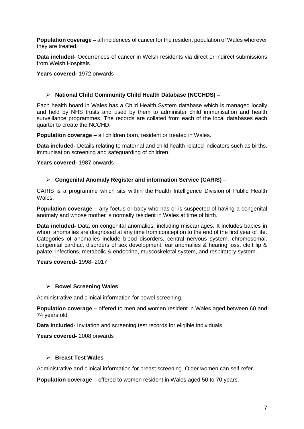**Population coverage –** all incidences of cancer for the resident population of Wales wherever they are treated.

**Data included-** Occurrences of cancer in Welsh residents via direct or indirect submissions from Welsh Hospitals.

**Years covered-** 1972 onwards

#### **National Child Community Child Health Database (NCCHDS) –**

Each health board in Wales has a Child Health System database which is managed locally and held by NHS trusts and used by them to administer child immunisation and health surveillance programmes. The records are collated from each of the local databases each quarter to create the NCCHD.

**Population coverage –** all children born, resident or treated in Wales.

**Data included-** Details relating to maternal and child health related indicators such as births, immunisation screening and safeguarding of children.

**Years covered-** 1987 onwards

#### **Congenital Anomaly Register and information Service (CARIS)** –

CARIS is a programme which sits within the [Health Intelligence Division](http://www.wales.nhs.uk/sitesplus/888/page/85545/) of Public Health Wales.

**Population coverage –** any foetus or baby who has or is suspected of having a congenital anomaly and whose mother is normally resident in Wales at time of birth.

**Data included-** Data on congenital anomalies, including miscarriages. It includes babies in whom anomalies are diagnosed at any time from conception to the end of the first year of life. Categories of anomalies include blood disorders, central nervous system, chromosomal, congenital cardiac, disorders of sex development, ear anomalies & hearing loss, cleft lip & palate, infections, metabolic & endocrine, muscoskeletal system, and respiratory system.

**Years covered-** 1998- 2017

#### **Bowel Screening Wales**

Administrative and clinical information for bowel screening.

**Population coverage –** offered to men and women resident in Wales aged between 60 and 74 years old

**Data included-** Invitation and screening test records for eligible individuals.

**Years covered-** 2008 onwards

#### **Breast Test Wales**

Administrative and clinical information for breast screening. Older women can self-refer.

**Population coverage –** offered to women resident in Wales aged 50 to 70 years.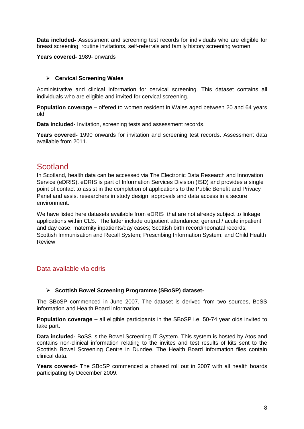**Data included-** Assessment and screening test records for individuals who are eligible for breast screening: routine invitations, self-referrals and family history screening women.

**Years covered-** 1989- onwards

#### **Cervical Screening Wales**

Administrative and clinical information for cervical screening. This dataset contains all individuals who are eligible and invited for cervical screening.

**Population coverage –** offered to women resident in Wales aged between 20 and 64 years old.

**Data included-** Invitation, screening tests and assessment records.

**Years covered-** 1990 onwards for invitation and screening test records. Assessment data available from 2011.

## <span id="page-8-0"></span>**Scotland**

In Scotland, health data can be accessed via The Electronic Data Research and Innovation Service (eDRIS). eDRIS is part of Information Services Division (ISD) and provides a single point of contact to assist in the completion of applications to the Public Benefit and Privacy Panel and assist researchers in study design, approvals and data access in a secure environment.

We have listed here datasets available from eDRIS that are not already subject to linkage applications within CLS. The latter include outpatient attendance; general / acute inpatient and day case; maternity inpatients/day cases; Scottish birth record/neonatal records; Scottish Immunisation and Recall System; Prescribing Information System; and Child Health Review

#### <span id="page-8-1"></span>Data available via edris

#### **Scottish Bowel Screening Programme (SBoSP) dataset-**

The SBoSP commenced in June 2007. The dataset is derived from two sources, BoSS information and Health Board information.

**Population coverage –** all eligible participants in the SBoSP i.e. 50-74 year olds invited to take part.

**Data included-** BoSS is the Bowel Screening IT System. This system is hosted by Atos and contains non-clinical information relating to the invites and test results of kits sent to the Scottish Bowel Screening Centre in Dundee. The Health Board information files contain clinical data.

**Years covered-** The SBoSP commenced a phased roll out in 2007 with all health boards participating by December 2009.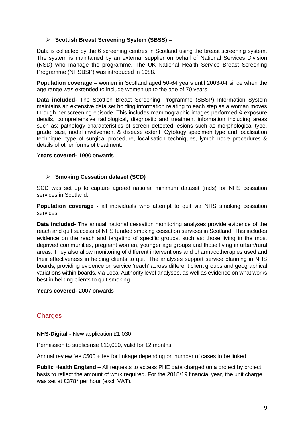#### **Scottish Breast Screening System (SBSS) –**

Data is collected by the 6 screening centres in Scotland using the breast screening system. The system is maintained by an external supplier on behalf of National Services Division (NSD) who manage the programme. The UK National Health Service Breast Screening Programme (NHSBSP) was introduced in 1988.

**Population coverage –** women in Scotland aged 50-64 years until 2003-04 since when the age range was extended to include women up to the age of 70 years.

**Data included-** The Scottish Breast Screening Programme (SBSP) Information System maintains an extensive data set holding information relating to each step as a woman moves through her screening episode. This includes mammographic images performed & exposure details, comprehensive radiological, diagnostic and treatment information including areas such as: pathology characteristics of screen detected lesions such as morphological type, grade, size, nodal involvement & disease extent. Cytology specimen type and localisation technique, type of surgical procedure, localisation techniques, lymph node procedures & details of other forms of treatment.

#### **Years covered-** 1990 onwards

#### **Smoking Cessation dataset (SCD)**

SCD was set up to capture agreed national minimum dataset (mds) for NHS cessation services in Scotland.

**Population coverage -** all individuals who attempt to quit via NHS smoking cessation services.

**Data included-** The annual national cessation monitoring analyses provide evidence of the reach and quit success of NHS funded smoking cessation services in Scotland. This includes evidence on the reach and targeting of specific groups, such as: those living in the most deprived communities, pregnant women, younger age groups and those living in urban/rural areas. They also allow monitoring of different interventions and pharmacotherapies used and their effectiveness in helping clients to quit. The analyses support service planning in NHS boards, providing evidence on service 'reach' across different client groups and geographical variations within boards, via Local Authority level analyses, as well as evidence on what works best in helping clients to quit smoking.

#### **Years covered-** 2007 onwards

#### <span id="page-9-0"></span>**Charges**

**NHS-Digital** - New application £1,030.

Permission to sublicense £10,000, valid for 12 months.

Annual review fee £500 + fee for linkage depending on number of cases to be linked.

**Public Health England –** All requests to access PHE data charged on a project by project basis to reflect the amount of work required. For the 2018/19 financial year, the unit charge was set at £378\* per hour (excl. VAT).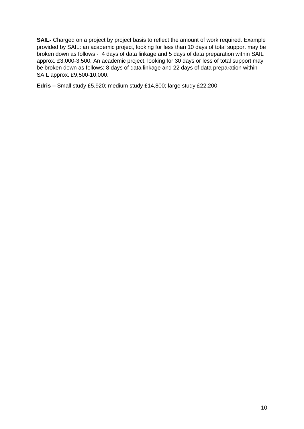**SAIL-** Charged on a project by project basis to reflect the amount of work required. Example provided by SAIL: an academic project, looking for less than 10 days of total support may be broken down as follows - 4 days of data linkage and 5 days of data preparation within SAIL approx. £3,000-3,500. An academic project, looking for 30 days or less of total support may be broken down as follows: 8 days of data linkage and 22 days of data preparation within SAIL approx. £9,500-10,000.

**Edris –** Small study £5,920; medium study £14,800; large study £22,200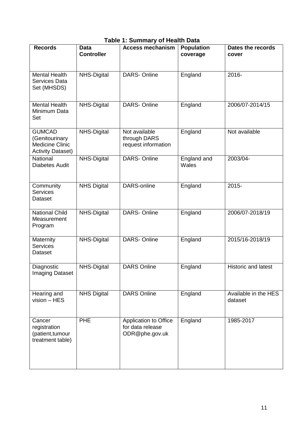### **Table 1: Summary of Health Data**

<span id="page-11-0"></span>

| <b>Records</b>                                                                        | <b>Data</b><br><b>Controller</b> | <b>Access mechanism</b>                                     | <b>Population</b><br>coverage | Dates the records<br>cover      |
|---------------------------------------------------------------------------------------|----------------------------------|-------------------------------------------------------------|-------------------------------|---------------------------------|
| <b>Mental Health</b><br><b>Services Data</b><br>Set (MHSDS)                           | <b>NHS-Digital</b>               | <b>DARS-Online</b>                                          | England                       | 2016-                           |
| <b>Mental Health</b><br>Minimum Data<br>Set                                           | NHS-Digital                      | <b>DARS-Online</b>                                          | England                       | 2006/07-2014/15                 |
| <b>GUMCAD</b><br>(Genitourinary<br><b>Medicine Clinic</b><br><b>Activity Dataset)</b> | NHS-Digital                      | Not available<br>through DARS<br>request information        | England                       | Not available                   |
| National<br><b>Diabetes Audit</b>                                                     | NHS-Digital                      | <b>DARS-Online</b>                                          | England and<br>Wales          | 2003/04-                        |
| Community<br><b>Services</b><br>Dataset                                               | <b>NHS Digital</b>               | <b>DARS-online</b>                                          | England                       | $2015 -$                        |
| <b>National Child</b><br>Measurement<br>Program                                       | NHS-Digital                      | DARS-Online                                                 | England                       | 2006/07-2018/19                 |
| Maternity<br><b>Services</b><br>Dataset                                               | NHS-Digital                      | <b>DARS-Online</b>                                          | England                       | 2015/16-2018/19                 |
| Diagnostic<br><b>Imaging Dataset</b>                                                  | <b>NHS-Digital</b>               | <b>DARS Online</b>                                          | England                       | Historic and latest             |
| Hearing and<br>vision - HES                                                           | <b>NHS Digital</b>               | <b>DARS Online</b>                                          | England                       | Available in the HES<br>dataset |
| Cancer<br>registration<br>(patient, tumour<br>treatment table)                        | <b>PHE</b>                       | Application to Office<br>for data release<br>ODR@phe.gov.uk | England                       | 1985-2017                       |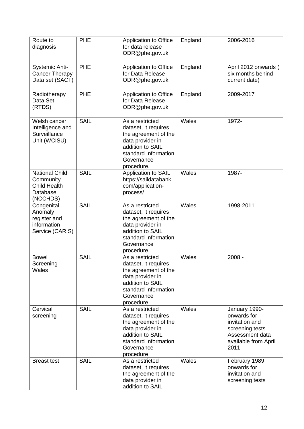| Route to<br>diagnosis                                                                   | <b>PHE</b>  | Application to Office<br>for data release<br>ODR@phe.gov.uk                                                                                                 | England | 2006-2016                                                                                                            |
|-----------------------------------------------------------------------------------------|-------------|-------------------------------------------------------------------------------------------------------------------------------------------------------------|---------|----------------------------------------------------------------------------------------------------------------------|
| <b>Systemic Anti-</b><br><b>Cancer Therapy</b><br>Data set (SACT)                       | <b>PHE</b>  | Application to Office<br>for Data Release<br>ODR@phe.gov.uk                                                                                                 | England | April 2012 onwards (<br>six months behind<br>current date)                                                           |
| Radiotherapy<br>Data Set<br>(RTDS)                                                      | <b>PHE</b>  | Application to Office<br>for Data Release<br>ODR@phe.gov.uk                                                                                                 | England | 2009-2017                                                                                                            |
| $\overline{\mathsf{W}}$ elsh cancer<br>Intelligence and<br>Surveillance<br>Unit (WCISU) | <b>SAIL</b> | As a restricted<br>dataset, it requires<br>the agreement of the<br>data provider in<br>addition to SAIL<br>standard Information<br>Governance<br>procedure. | Wales   | 1972-                                                                                                                |
| <b>National Child</b><br>Community<br><b>Child Health</b><br>Database<br>(NCCHDS)       | <b>SAIL</b> | <b>Application to SAIL</b><br>https://saildatabank.<br>com/application-<br>process/                                                                         | Wales   | 1987-                                                                                                                |
| Congenital<br>Anomaly<br>register and<br>information<br>Service (CARIS)                 | <b>SAIL</b> | As a restricted<br>dataset, it requires<br>the agreement of the<br>data provider in<br>addition to SAIL<br>standard Information<br>Governance<br>procedure. | Wales   | 1998-2011                                                                                                            |
| <b>Bowel</b><br>Screening<br>Wales                                                      | <b>SAIL</b> | As a restricted<br>dataset, it requires<br>the agreement of the<br>data provider in<br>addition to SAIL<br>standard Information<br>Governance<br>procedure  | Wales   | $2008 -$                                                                                                             |
| Cervical<br>screening                                                                   | <b>SAIL</b> | As a restricted<br>dataset, it requires<br>the agreement of the<br>data provider in<br>addition to SAIL<br>standard Information<br>Governance<br>procedure  | Wales   | January 1990-<br>onwards for<br>invitation and<br>screening tests<br>Assessment data<br>available from April<br>2011 |
| <b>Breast test</b>                                                                      | <b>SAIL</b> | As a restricted<br>dataset, it requires<br>the agreement of the<br>data provider in<br>addition to SAIL                                                     | Wales   | February 1989<br>onwards for<br>invitation and<br>screening tests                                                    |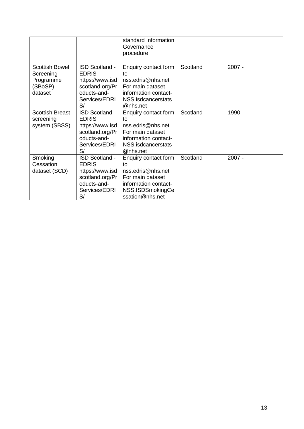|                                                                       |                                                                                                                   | standard Information<br>Governance<br>procedure                                                                                    |          |          |
|-----------------------------------------------------------------------|-------------------------------------------------------------------------------------------------------------------|------------------------------------------------------------------------------------------------------------------------------------|----------|----------|
| <b>Scottish Bowel</b><br>Screening<br>Programme<br>(SBoSP)<br>dataset | <b>ISD Scotland -</b><br><b>EDRIS</b><br>https://www.isd<br>scotland.org/Pr<br>oducts-and-<br>Services/EDRI<br>S/ | Enquiry contact form<br>to<br>nss.edris@nhs.net<br>For main dataset<br>information contact-<br>NSS.isdcancerstats<br>@nhs.net      | Scotland | $2007 -$ |
| <b>Scottish Breast</b><br>screening<br>system (SBSS)                  | ISD Scotland -<br><b>EDRIS</b><br>https://www.isd<br>scotland.org/Pr<br>oducts-and-<br>Services/EDRI<br>S/        | Enquiry contact form<br>to<br>nss.edris@nhs.net<br>For main dataset<br>information contact-<br>NSS.isdcancerstats<br>@nhs.net      | Scotland | 1990 -   |
| Smoking<br>Cessation<br>dataset (SCD)                                 | <b>ISD Scotland -</b><br><b>EDRIS</b><br>https://www.isd<br>scotland.org/Pr<br>oducts-and-<br>Services/EDRI<br>S/ | Enquiry contact form<br>to<br>nss.edris@nhs.net<br>For main dataset<br>information contact-<br>NSS.ISDSmokingCe<br>ssation@nhs.net | Scotland | $2007 -$ |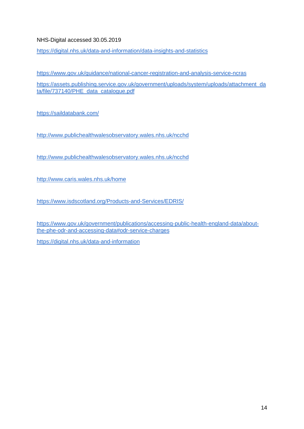#### NHS-Digital accessed 30.05.2019

<https://digital.nhs.uk/data-and-information/data-insights-and-statistics>

<https://www.gov.uk/guidance/national-cancer-registration-and-analysis-service-ncras>

[https://assets.publishing.service.gov.uk/government/uploads/system/uploads/attachment\\_da](https://assets.publishing.service.gov.uk/government/uploads/system/uploads/attachment_data/file/737140/PHE_data_catalogue.pdf) [ta/file/737140/PHE\\_data\\_catalogue.pdf](https://assets.publishing.service.gov.uk/government/uploads/system/uploads/attachment_data/file/737140/PHE_data_catalogue.pdf)

<https://saildatabank.com/>

<http://www.publichealthwalesobservatory.wales.nhs.uk/ncchd>

<http://www.publichealthwalesobservatory.wales.nhs.uk/ncchd>

<http://www.caris.wales.nhs.uk/home>

<https://www.isdscotland.org/Products-and-Services/EDRIS/>

[https://www.gov.uk/government/publications/accessing-public-health-england-data/about](https://www.gov.uk/government/publications/accessing-public-health-england-data/about-the-phe-odr-and-accessing-data#odr-service-charges)[the-phe-odr-and-accessing-data#odr-service-charges](https://www.gov.uk/government/publications/accessing-public-health-england-data/about-the-phe-odr-and-accessing-data#odr-service-charges)

<https://digital.nhs.uk/data-and-information>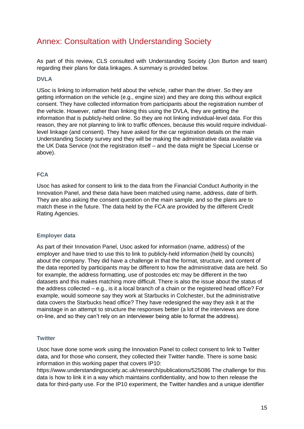## <span id="page-15-0"></span>Annex: Consultation with Understanding Society

As part of this review, CLS consulted with Understanding Society (Jon Burton and team) regarding their plans for data linkages. A summary is provided below.

#### **DVLA**

USoc is linking to information held about the vehicle, rather than the driver. So they are getting information on the vehicle (e.g., engine size) and they are doing this without explicit consent. They have collected information from participants about the registration number of the vehicle. However, rather than linking this using the DVLA, they are getting the information that is publicly-held online. So they are not linking individual-level data. For this reason, they are not planning to link to traffic offences, because this would require individuallevel linkage (and consent). They have asked for the car registration details on the main Understanding Society survey and they will be making the administrative data available via the UK Data Service (not the registration itself – and the data might be Special License or above).

#### **FCA**

Usoc has asked for consent to link to the data from the Financial Conduct Authority in the Innovation Panel, and these data have been matched using name, address, date of birth. They are also asking the consent question on the main sample, and so the plans are to match these in the future. The data held by the FCA are provided by the different Credit Rating Agencies.

#### **Employer data**

As part of their Innovation Panel, Usoc asked for information (name, address) of the employer and have tried to use this to link to publicly-held information (held by councils) about the company. They did have a challenge in that the format, structure, and content of the data reported by participants may be different to how the administrative data are held. So for example, the address formatting, use of postcodes etc may be different in the two datasets and this makes matching more difficult. There is also the issue about the status of the address collected – e.g., is it a local branch of a chain or the registered head office? For example, would someone say they work at Starbucks in Colchester, but the administrative data covers the Starbucks head office? They have redesigned the way they ask it at the mainstage in an attempt to structure the responses better (a lot of the interviews are done on-line, and so they can't rely on an interviewer being able to format the address).

#### **Twitter**

Usoc have done some work using the Innovation Panel to collect consent to link to Twitter data, and for those who consent, they collected their Twitter handle. There is some basic information in this working paper that covers IP10:

<https://www.understandingsociety.ac.uk/research/publications/525086> The challenge for this data is how to link it in a way which maintains confidentiality, and how to then release the data for third-party use. For the IP10 experiment, the Twitter handles and a unique identifier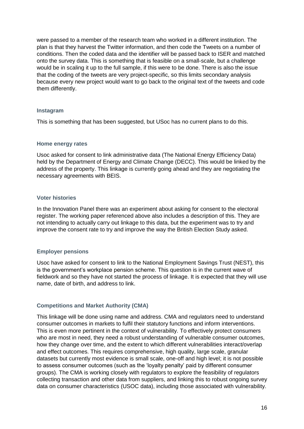were passed to a member of the research team who worked in a different institution. The plan is that they harvest the Twitter information, and then code the Tweets on a number of conditions. Then the coded data and the identifier will be passed back to ISER and matched onto the survey data. This is something that is feasible on a small-scale, but a challenge would be in scaling it up to the full sample, if this were to be done. There is also the issue that the coding of the tweets are very project-specific, so this limits secondary analysis because every new project would want to go back to the original text of the tweets and code them differently.

#### **Instagram**

This is something that has been suggested, but USoc has no current plans to do this.

#### **Home energy rates**

Usoc asked for consent to link administrative data (The National Energy Efficiency Data) held by the Department of Energy and Climate Change (DECC). This would be linked by the address of the property. This linkage is currently going ahead and they are negotiating the necessary agreements with BEIS.

#### **Voter histories**

In the Innovation Panel there was an experiment about asking for consent to the electoral register. The working paper referenced above also includes a description of this. They are not intending to actually carry out linkage to this data, but the experiment was to try and improve the consent rate to try and improve the way the British Election Study asked.

#### **Employer pensions**

Usoc have asked for consent to link to the National Employment Savings Trust (NEST), this is the government's workplace pension scheme. This question is in the current wave of fieldwork and so they have not started the process of linkage. It is expected that they will use name, date of birth, and address to link.

#### **Competitions and Market Authority (CMA)**

This linkage will be done using name and address. CMA and regulators need to understand consumer outcomes in markets to fulfil their statutory functions and inform interventions. This is even more pertinent in the context of vulnerability. To effectively protect consumers who are most in need, they need a robust understanding of vulnerable consumer outcomes, how they change over time, and the extent to which different vulnerabilities interact/overlap and effect outcomes. This requires comprehensive, high quality, large scale, granular datasets but currently most evidence is small scale, one-off and high level; it is not possible to assess consumer outcomes (such as the 'loyalty penalty' paid by different consumer groups). The CMA is working closely with regulators to explore the feasibility of regulators collecting transaction and other data from suppliers, and linking this to robust ongoing survey data on consumer characteristics (USOC data), including those associated with vulnerability.